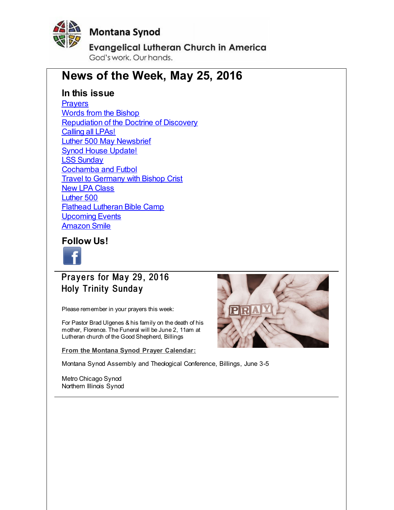<span id="page-0-0"></span>

### **Montana Synod**

**Evangelical Lutheran Church in America** 

God's work, Our hands,

### **News of the Week, May 25, 2016**

### **In this issue**

**[Prayers](#page-0-0)** Words from the [Bishop](#page-0-0) [Repudiation](#page-0-0) of the Doctrine of Discovery [Calling](#page-0-0) all LPAs! Luther 500 May [Newsbrief](#page-0-0) **Synod House [Update!](#page-0-0)** LSS [Sunday](#page-0-0) [Cochamba](#page-0-0) and Futbol **Travel to [Germany](#page-0-0) with Bishop Crist** New LPA [Class](#page-0-0) [Luther](#page-0-0) 500 Flathead [Lutheran](#page-0-0) Bible Camp [Upcoming](#page-0-0) Events [Amazon](#page-0-0) Smile

### **Follow Us!**



Prayers for May 29, 2016 **Holy Trinity Sunday** 

Please remember in your prayers this week:

For Pastor Brad Ulgenes & his family on the death of his mother, Florence. The Funeral will be June 2, 11am at Lutheran church of the Good Shepherd, Billings

**From the Montana Synod Prayer Calendar:**

Montana Synod Assembly and Theological Conference, Billings, June 3-5

Metro Chicago Synod Northern Illinois Synod

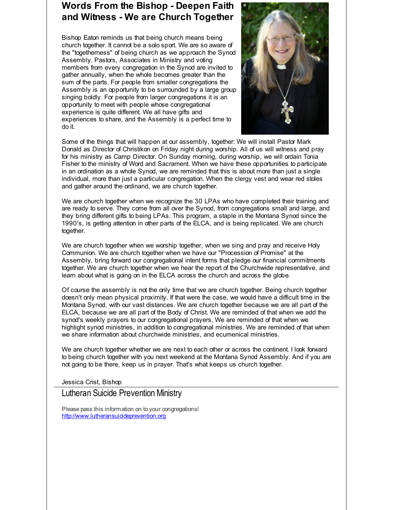### **Words From the Bishop - Deepen Faith and Witness - We are Church Together**

Bishop Eaton reminds us that being church means being church together. It cannot be a solo sport. We are so aware of the "togetherness" of being church as we approach the Synod Assembly. Pastors, Associates in Ministry and voting members from every congregation in the Synod are invited to gather annually, when the whole becomes greater than the sum of the parts. For people from smaller congregations the Assembly is an opportunity to be surrounded by a large group singing boldly. For people from larger congregations it is an opportunity to meet with people whose congregational experience is quite different. We all have gifts and experiences to share, and the Assembly is a perfect time to do it.



Some of the things that will happen at our assembly, together: We will install Pastor Mark Donald as Director of Christikon on Friday night during worship. All of us will witness and pray for his ministry as Camp Director. On Sunday morning, during worship, we will ordain Tonia Fisher to the ministry of Word and Sacrament. When we have these opportunities to participate in an ordination as a whole Synod, we are reminded that this is about more than just a single individual, more than just a particular congregation. When the clergy vest and wear red stoles and gather around the ordinand, we are church together.

We are church together when we recognize the 30 LPAs who have completed their training and are ready to serve. They come from all over the Synod, from congregations small and large, and they bring different gifts to being LPAs. This program, a staple in the Montana Synod since the 1990's, is getting attention in other parts of the ELCA, and is being replicated. We are church together.

We are church together when we worship together, when we sing and pray and receive Holy Communion. We are church together when we have our "Procession of Promise" at the Assembly, bring forward our congregational intent forms that pledge our financial commitments together. We are church together when we hear the report of the Churchwide representative, and learn about what is going on in the ELCA across the church and across the globe.

Of course the assembly is not the only time that we are church together. Being church together doesn't only mean physical proximity. If that were the case, we would have a difficult time in the Montana Synod, with our vast distances. We are church together because we are all part of the ELCA, because we are all part of the Body of Christ. We are reminded of that when we add the synod's weekly prayers to our congregational prayers. We are reminded of that when we highlight synod ministries, in addition to congregational ministries. We are reminded of that when we share information about churchwide ministries, and ecumenical ministries.

We are church together whether we are next to each other or across the continent. I look forward to being church together with you next weekend at the Montana Synod Assembly. And if you are not going to be there, keep us in prayer. That's what keeps us church together.

Jessica Crist, Bishop

### Lutheran Suicide Prevention Ministry

Please pass this information on to your congregations! [http://www.lutheransuicideprevention.org](http://r20.rs6.net/tn.jsp?f=001r87Pc0CXYNdyjByKtd9DxHdd3mmevbRV741R6F-5-vCIm1vQtJyExWjbcySwZzMLuVTh64LPZQWNn9miUhQbXIhom26rIbFdVFCa3B0xezqSBKDIuSnm6tKV91Cjgc5PObyhrW-507TmquKTEdfh5KmVVsZYgGomMakh16EMZz_AbLAIzCfYn22vI8T42Jtk&c=&ch=)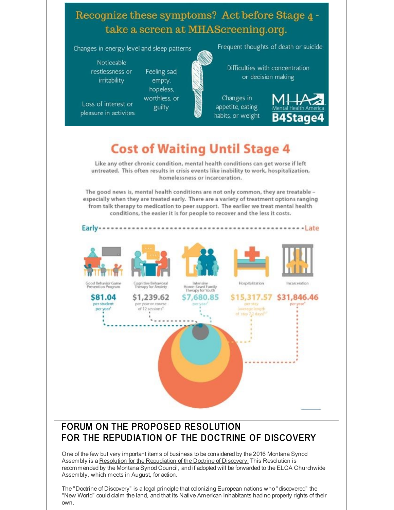### Recognize these symptoms? Act before Stage 4 take a screen at MHAScreening.org.

Changes in energy level and sleep patterns

Feeling sad,

empty, hopeless. worthless, or

guilty

Noticeable restlessness or irritability

Loss of interest or pleasure in activites

Frequent thoughts of death or suicide

Difficulties with concentration or decision making

Changes in appetite, eating habits, or weight



# **Cost of Waiting Until Stage 4**

Like any other chronic condition, mental health conditions can get worse if left untreated. This often results in crisis events like inability to work, hospitalization, homelessness or incarceration.

The good news is, mental health conditions are not only common, they are treatable especially when they are treated early. There are a variety of treatment options ranging from talk therapy to medication to peer support. The earlier we treat mental health conditions, the easier it is for people to recover and the less it costs.



### FORUM ON THE PROPOSED RESOLUTION FOR THE REPUDIATION OF THE DOCTRINE OF DISCOVERY

One of the few but very important items of business to be considered by the 2016 Montana Synod Assembly is a Resolution for the Repudiation of the Doctrine of Discovery. This Resolution is recommended by the Montana Synod Council, and if adopted will be forwarded to the ELCA Churchwide Assembly, which meets in August, for action.

The "Doctrine of Discovery" is a legal principle that colonizing European nations who "discovered" the "New World" could claim the land, and that its Native American inhabitants had no property rights of their own.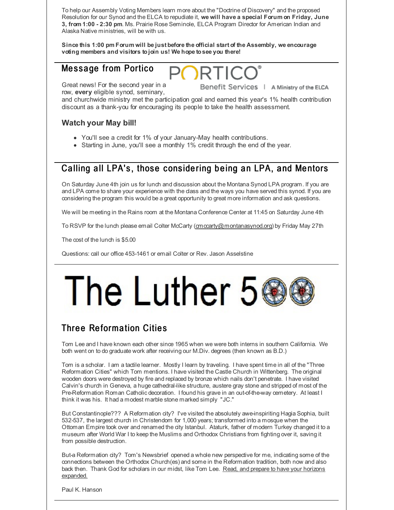To help our Assembly Voting Members learn more about the "Doctrine of Discovery" and the proposed Resolution for our Synod and the ELCA to repudiate it, **we will have a special Forum on Friday, June 3, from 1:00 - 2:30 pm**. Ms. Prairie Rose Seminole, ELCA Program Director for American Indian and Alaska Native ministries, will be with us.

**Since this 1:00 pm Forum will be just before the official start of the Assembly, we encourage voting members and visitors tojoin us! We hope tosee you there!**

### Message from Portico

Great news! For the second year in a

Benefit Services | A Ministry of the ELCA

row, **every** eligible synod, seminary,

and churchwide ministry met the participation goal and earned this year's 1% health contribution discount as a thank-you for encouraging its people to take the health assessment.

### **Watch your May bill!**

- You'll see a credit for 1% of your January-May health contributions.
- Starting in June, you'll see a monthly 1% credit through the end of the year.

### Calling all LPA's, those considering being an LPA, and Mentors

On Saturday June 4th join us for lunch and discussion about the Montana Synod LPA program. If you are and LPA come to share your experience with the class and the ways you have served this synod. If you are considering the program this would be a great opportunity to great more information and ask questions.

We will be meeting in the Rains room at the Montana Conference Center at 11:45 on Saturday June 4th

To RSVP for the lunch please email Colter McCarty [\(cmccarty@montanasynod.org](mailto:cmccarty@montanasynod.org)) by Friday May 27th

The cost of the lunch is \$5.00

Questions: call our office 453-1461 or email Colter or Rev. Jason Asselstine

# The Luther 5

### Three Reformation Cities

Tom Lee and I have known each other since 1965 when we were both interns in southern California. We both went on to do graduate work after receiving our M.Div. degrees (then known as B.D.)

Tom is a scholar. I am a tactile learner. Mostly I learn by traveling. I have spent time in all of the "Three Reformation Cities" which Tom mentions. I have visited the Castle Church in Wittenberg. The original wooden doors were destroyed by fire and replaced by bronze which nails don't penetrate. I have visited Calvin's church in Geneva, a huge cathedral-like structure, austere gray stone and stripped of most of the Pre-Reformation Roman Catholic decoration. I found his grave in an out-of-the-way cemetery. At least I think it was his. It had a modest marble stone marked simply "JC."

But Constantinople??? A Reformation city? I've visited the absolutely awe-inspiriting Hagia Sophia, built 532-537, the largest church in Christendom for 1,000 years; transformed into a mosque when the Ottoman Empire took over and renamed the city Istanbul. Ataturk, father of modern Turkey changed it to a museum after World War I to keep the Muslims and Orthodox Christians from fighting over it, saving it from possible destruction.

But-a Reformation city? Tom's Newsbrief opened a whole new perspective for me, indicating some of the connections between the Orthodox Church(es) and some in the Reformation tradition, both now and also back then. Thank God for scholars in our midst, like Tom Lee. Read, and prepare to have your horizons [expanded.](http://r20.rs6.net/tn.jsp?f=001r87Pc0CXYNdyjByKtd9DxHdd3mmevbRV741R6F-5-vCIm1vQtJyExQ_cJ8l1MUDKbdR-Ot0xC1EronbLOkf_xofIy2hOl1hlHSfDZ6MSb1NXTdidmGuF-t933S4zZomx33Ngwm0WqWrCniGdlntTpBSUnHRXPJXafGKgf3MtWTT2HVQcvQKiLKsjsVw6NYl1JjqNo6GXsiQ=&c=&ch=)

Paul K. Hanson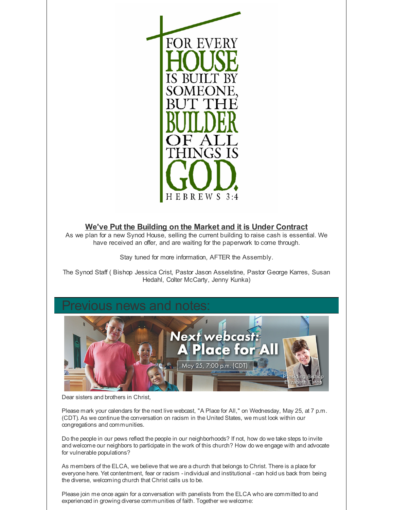

### **We've Put the Building on the Market and it is Under Contract**

As we plan for a new Synod House, selling the current building to raise cash is essential. We have received an offer, and are waiting for the paperwork to come through.

Stay tuned for more information, AFTER the Assembly.

The Synod Staff ( Bishop Jessica Crist, Pastor Jason Asselstine, Pastor George Karres, Susan Hedahl, Colter McCarty, Jenny Kunka)



Dear sisters and brothers in Christ,

Please mark your calendars for the next live webcast, "A Place for All," on Wednesday, May 25, at 7 p.m. (CDT). As we continue the conversation on racism in the United States, we must look within our congregations and communities.

Do the people in our pews reflect the people in our neighborhoods? If not, how do we take steps to invite and welcome our neighbors to participate in the work of this church? How do we engage with and advocate for vulnerable populations?

As members of the ELCA, we believe that we are a church that belongs to Christ. There is a place for everyone here. Yet contentment, fear or racism - individual and institutional - can hold us back from being the diverse, welcoming church that Christ calls us to be.

Please join me once again for a conversation with panelists from the ELCA who are committed to and experienced in growing diverse communities of faith. Together we welcome: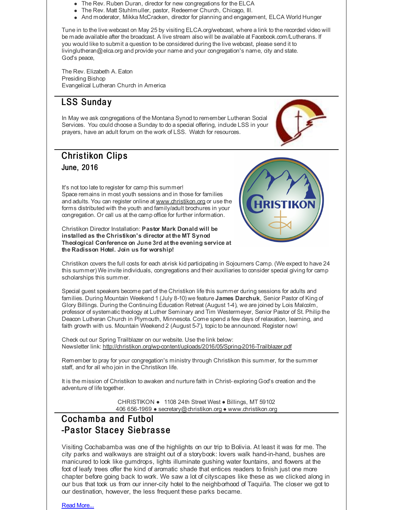- The Rev. Ruben Duran, director for new congregations for the ELCA
- The Rev. Matt Stuhlmuller, pastor, Redeemer Church, Chicago, Ill.
- And moderator, Mikka McCracken, director for planning and engagement, ELCA World Hunger

Tune in to the live webcast on May 25 by visiting ELCA.org/webcast, where a link to the recorded video will be made available after the broadcast. A live stream also will be available at Facebook.com/Lutherans. If you would like to submit a question to be considered during the live webcast, please send it to livinglutheran@elca.org and provide your name and your congregation's name, city and state. God's peace,

The Rev. Elizabeth A. Eaton Presiding Bishop Evangelical Lutheran Church in America

### LSS Sunda y

In May we ask congregations of the Montana Synod to remember Lutheran Social Services. You could choose a Sunday to do a special offering, include LSS in your prayers, have an adult forum on the work of LSS. Watch for resources.

### **Christikon Clips** June, 2016

It's not too late to register for camp this summer! Space remains in most youth sessions and in those for families and adults. You can register online at [www.christikon.org](http://r20.rs6.net/tn.jsp?f=001r87Pc0CXYNdyjByKtd9DxHdd3mmevbRV741R6F-5-vCIm1vQtJyExXNMJ34pJH7bGkYbQH-2arrCGkM-Prx0igOYqwCgVel55Epm5Sp09sDH7Mm1b93wluIySTxHxN9TSJWecA74esVilciBQkCoSdEwp1esciRITBSbYKImNg4=&c=&ch=) or use the forms distributed with the youth and family/adult brochures in your congregation. Or call us at the camp office for further information.

Christikon Director Installation: **Pastor Mark Donald will be installed as the Christikon's director at the MT Synod Theological Conference on June 3rd at the evening service at the Radisson Hotel. Join us for worship!**



Christikon covers the full costs for each at-risk kid participating in Sojourners Camp. (We expect to have 24 this summer) We invite individuals, congregations and their auxiliaries to consider special giving for camp scholarships this summer.

Special guest speakers become part of the Christikon life this summer during sessions for adults and families. During Mountain Weekend 1 (July 8-10) we feature **James Darchuk**, Senior Pastor of King of Glory Billings. During the Continuing Education Retreat (August 1-4), we are joined by Lois Malcolm, professor of systematic theology at Luther Seminary and Tim Westermeyer, Senior Pastor of St. Philip the Deacon Lutheran Church in Plymouth, Minnesota. Come spend a few days of relaxation, learning, and faith growth with us. Mountain Weekend 2 (August 5-7), topicto be announced. Register now!

Check out our Spring Trailblazer on our website. Use the link below: Newsletter link: [http://christikon.org/wp-content/uploads/2016/05/Spring-2016-Trailblazer.pdf](http://r20.rs6.net/tn.jsp?f=001r87Pc0CXYNdyjByKtd9DxHdd3mmevbRV741R6F-5-vCIm1vQtJyExRAY3O5nf4muSfbXtWYeE3UWp24Y4eSCaR-lkAb976mgYFHOADOd9VaRBDLvOCxudxCAzSCKXxGPAOSEbsCJoonm0WGuG-o56zXEuElj9IdeyaGF425xlHmrii40PtBNyOBr04mSpB_iWnbxWnQnJ4hVxavAZ2WE2xl2ehRUJDXhvsXcBQRYqWvQJkiMP5nMoZf5j0Hu8YLq&c=&ch=)

Remember to pray for your congregation's ministry through Christikon this summer, for the summer staff, and for all who join in the Christikon life.

It is the mission of Christikon to awaken and nurture faith in Christ- exploring God's creation and the adventure of life together.

> CHRISTIKON ● 1108 24th Street West ● Billings, MT 59102 406 656-1969 ● secretary@christikon.org ● www.christikon.org

### Cochamba and Futbol -Pastor Stacey Siebrasse

Visiting Cochabamba was one of the highlights on our trip to Bolivia. At least it was for me. The city parks and walkways are straight out of a storybook: lovers walk hand-in-hand, bushes are manicured to look like gumdrops, lights illuminate gushing water fountains, and flowers at the foot of leafy trees offer the kind of aromatic shade that entices readers to finish just one more chapter before going back to work. We saw a lot of cityscapes like these as we clicked along in our bus that took us from our inner-city hotel to the neighborhood of Taquiña. The closer we got to our destination, however, the less frequent these parks became.

Read [More...](http://r20.rs6.net/tn.jsp?f=001r87Pc0CXYNdyjByKtd9DxHdd3mmevbRV741R6F-5-vCIm1vQtJyExXrEjN8GeMDHzQV4Yi_Spbp8S-LvUwPFNkH4wIKVsvhvlDDUgaKXz-x0GlGBfEcKP_8MGtuV5ke8C827Hk_WMsnJUr8j0aufV3VSMX8U8JUC8oeZaTfPKc-LJsn2B-oMgSYwiJgvNbytoYLXvspAKkn4rwERVhlnjLwzXP7VGicgK0VaOQdI7fw=&c=&ch=)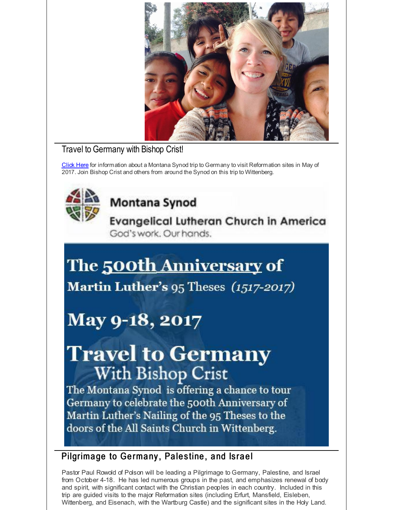

### Travel to Germany with Bishop Crist!

[Click](http://r20.rs6.net/tn.jsp?f=001r87Pc0CXYNdyjByKtd9DxHdd3mmevbRV741R6F-5-vCIm1vQtJyExfOXM12MPoNo4C8YHSDaz61VX-LPcOMPZ5YiJUvS-BpSTc8mTjcdfvxh4-xiKn6HCHNin9qUFunZ2Z1zyNH2OyRyDDNBWQJnujcPhfT8_ZmP5D_H06jCbhJ1Up5cPON4UgyoaUS-M-Hf2HZt9zgJsOgR99tWsSc5fNMAu77Fo8RmC3wTZLE7Kccat6H4HPw78G1eJnaFXGbXEGVyINIsw04Guvq9b2MJdORKIbawjva6&c=&ch=) Here for information about a Montana Synod trip to Germany to visit Reformation sites in May of 2017. Join Bishop Crist and others from around the Synod on this trip to Wittenberg.

# **Montana Synod**

**Evangelical Lutheran Church in America** God's work. Our hands.

# The 500th Anniversary of

Martin Luther's 95 Theses (1517-2017)

# May 9-18, 2017

# **Travel to Germany With Bishop Crist**

The Montana Synod is offering a chance to tour Germany to celebrate the 500th Anniversary of Martin Luther's Nailing of the 95 Theses to the doors of the All Saints Church in Wittenberg.

### Pilgrimage to Germany, Palestine, and Israel

Pastor Paul Rowold of Polson will be leading a Pilgrimage to Germany, Palestine, and Israel from October 4-18. He has led numerous groups in the past, and emphasizes renewal of body and spirit, with significant contact with the Christian peoples in each country. Included in this trip are guided visits to the major Reformation sites (including Erfurt, Mansfield, Eisleben, Wittenberg, and Eisenach, with the Wartburg Castle) and the significant sites in the Holy Land.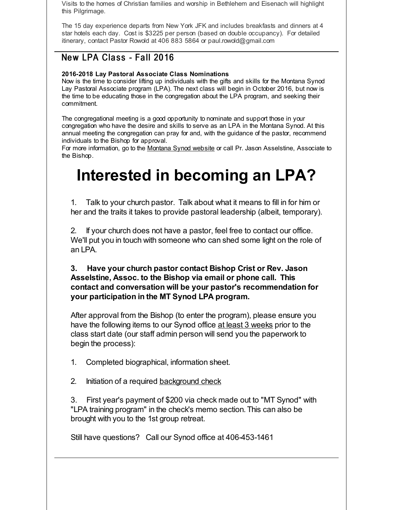Visits to the homes of Christian families and worship in Bethlehem and Eisenach will highlight this Pilgrimage.

The 15 day experience departs from New York JFK and includes breakfasts and dinners at 4 star hotels each day. Cost is \$3225 per person (based on double occupancy). For detailed itinerary, contact Pastor Rowold at 406 883 5864 or paul.rowold@gmail.com

### New LPA Class - Fall 2016

### **2016-2018 Lay Pastoral Associate Class Nominations**

Now is the time to consider lifting up individuals with the gifts and skills for the Montana Synod Lay Pastoral Associate program (LPA). The next class will begin in October 2016, but now is the time to be educating those in the congregation about the LPA program, and seeking their commitment.

The congregational meeting is a good opportunity to nominate and support those in your congregation who have the desire and skills to serve as an LPA in the Montana Synod. At this annual meeting the congregation can pray for and, with the guidance of the pastor, recommend individuals to the Bishop for approval.

For more information, go to the [Montana](http://r20.rs6.net/tn.jsp?f=001r87Pc0CXYNdyjByKtd9DxHdd3mmevbRV741R6F-5-vCIm1vQtJyExQMqioZbJHuFqIQ7i8c9Yy5nNWUi262apMpcqvmvFHFQhvScxoXeQtlF-5cD4MGKFeYCk9QPnRnzvKmd7YvxN2yE4ghpl8ldKQ3uQ1m7NxC7dUYsIQ1IgA9hG8EJPgWsuw==&c=&ch=) Synod website or call Pr. Jason Asselstine, Associate to the Bishop.

# **Interested in becoming an LPA?**

1. Talk to your church pastor. Talk about what it means to fill in for him or her and the traits it takes to provide pastoral leadership (albeit, temporary).

2. If your church does not have a pastor, feel free to contact our office. We'll put you in touch with someone who can shed some light on the role of an LPA.

**3. Have your church pastor contact Bishop Crist or Rev. Jason Asselstine, Assoc. to the Bishop via email or phone call. This contact and conversation will be your pastor's recommendation for your participation in the MT Synod LPA program.**

After approval from the Bishop (to enter the program), please ensure you have the following items to our Synod office at least 3 weeks prior to the class start date (our staff admin person will send you the paperwork to begin the process):

1. Completed biographical, information sheet.

2. Initiation of a required [background](http://r20.rs6.net/tn.jsp?f=001r87Pc0CXYNdyjByKtd9DxHdd3mmevbRV741R6F-5-vCIm1vQtJyExQbEfrWereOW38t98MK9H6q3jmiOqzPij66ReFTC29HbIRrMxMhSbWoyWi3_T7BHRnqnH0IrnZoowQGq7kDpm6y1aqDRDbO3ixbsCCIcJsUGtIwdzfOd5Xwj0zxvbK6fWkLdEUC3pLkDjz2nge18Ob-x_lPWcTUT6Q==&c=&ch=) check

3. First year's payment of \$200 via check made out to "MT Synod" with "LPA training program" in the check's memo section. This can also be brought with you to the 1st group retreat.

Still have questions? Call our Synod office at 406-453-1461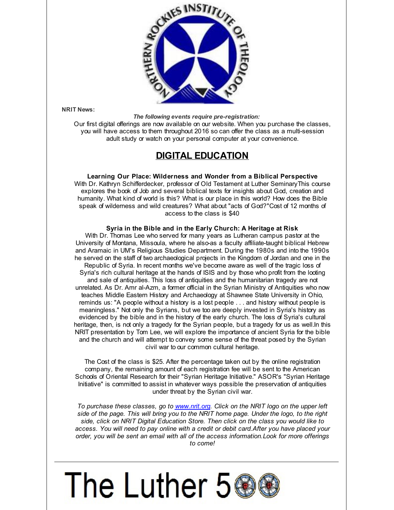

**NRIT News:**

*The following events require pre-registration:*

Our first digital offerings are now available on our website. When you purchase the classes, you will have access to them throughout 2016 so can offer the class as a multi-session adult study or watch on your personal computer at your convenience.

### **DIGITAL EDUCATION**

**Learning Our Place: Wilderness and Wonder from a Biblical Perspective** With Dr. Kathryn Schifferdecker, professor of Old Testament at Luther SeminaryThis course explores the book of Job and several biblical texts for insights about God, creation and humanity. What kind of world is this? What is our place in this world? How does the Bible speak of wilderness and wild creatures? What about "acts of God?"Cost of 12 months of access to the class is \$40

#### **Syria in the Bible and in the Early Church: A Heritage at Risk**

With Dr. Thomas Lee who served for many years as Lutheran campus pastor at the University of Montana, Missoula, where he also-as a faculty affiliate-taught biblical Hebrew and Aramaic in UM's Religious Studies Department. During the 1980s and into the 1990s he served on the staff of two archaeological projects in the Kingdom of Jordan and one in the Republic of Syria. In recent months we've become aware as well of the tragic loss of Syria's rich cultural heritage at the hands of ISIS and by those who profit from the looting and sale of antiquities. This loss of antiquities and the humanitarian tragedy are not unrelated. As Dr. Amr al-Azm, a former official in the Syrian Ministry of Antiquities who now teaches Middle Eastern History and Archaeology at Shawnee State University in Ohio, reminds us: "A people without a history is a lost people . . . and history without people is meaningless." Not only the Syrians, but we too are deeply invested in Syria's history as evidenced by the bible and in the history of the early church. The loss of Syria's cultural heritage, then, is not only a tragedy for the Syrian people, but a tragedy for us as well. In this NRIT presentation by Tom Lee, we will explore the importance of ancient Syria for the bible and the church and will attempt to convey some sense of the threat posed by the Syrian civil war to our common cultural heritage.

The Cost of the class is \$25. After the percentage taken out by the online registration company, the remaining amount of each registration fee will be sent to the American Schools of Oriental Research for their "Syrian Heritage Initiative." ASOR's "Syrian Heritage Initiative" is committed to assist in whatever ways possible the preservation of antiquities under threat by the Syrian civil war.

*To purchase these classes, go to [www.nrit.org](http://r20.rs6.net/tn.jsp?f=001r87Pc0CXYNdyjByKtd9DxHdd3mmevbRV741R6F-5-vCIm1vQtJyExQ5N7IYdukMsQp0HQfOsRmhhqFkq1nQ0Td4_rNJKvlH20_hz4xdgErRgCM5yEpmD2f4nydAhrjLEZ0zu9a_VLZKzbI_j0B69nYD1I3UfHfoB&c=&ch=). Click on the NRIT logo on the upper left side of the page. This will bring you to the NRIT home page. Under the logo, to the right side, click on NRIT Digital Education Store. Then click on the class you would like to access. You will need to pay online with a credit or debit card.After you have placed your order, you will be sent an email with all of the access information.Look for more offerings to come!*

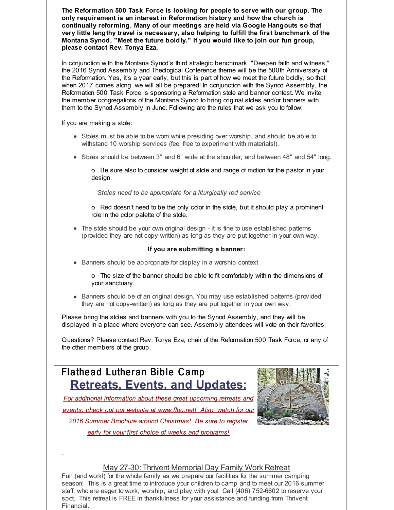**The Reformation 500 Task Force is looking for people to serve with our group. The only requirement is an interest in Reformation history and how the church is continually reforming. Many of our meetings are held via Google Hangouts so that very little lengthy travel is necessary, also helping to fulfill the first benchmark of the Montana Synod, "Meet the future boldly." If you would like to join our fun group, please contact Rev. Tonya Eza.**

In conjunction with the Montana Synod's third strategic benchmark, "Deepen faith and witness," the 2016 Synod Assembly and Theological Conference theme will be the 500th Anniversary of the Reformation. Yes, it's a year early, but this is part of how we meet the future boldly, so that when 2017 comes along, we will all be prepared! In conjunction with the Synod Assembly, the Reformation 500 Task Force is sponsoring a Reformation stole and banner contest. We invite the member congregations of the Montana Synod to bring original stoles and/or banners with them to the Synod Assembly in June. Following are the rules that we ask you to follow:

If you are making a stole:

- Stoles must be able to be worn while presiding over worship, and should be able to withstand 10 worship services (feel free to experiment with materials!).
- Stoles should be between 3" and 6" wide at the shoulder, and between 48" and 54" long.

o Be sure also to consider weight of stole and range of motion for the pastor in your design.

*Stoles need to be appropriate for a liturgically red service*

o Red doesn't need to be the only color in the stole, but it should play a prominent role in the color palette of the stole.

The stole should be your own original design - it is fine to use established patterns (provided they are not copy-written) as long as they are put together in your own way.

#### **If you are submitting a banner:**

Banners should be appropriate for display in a worship context

o The size of the banner should be able to fit comfortably within the dimensions of your sanctuary.

Banners should be of an original design. You may use established patterns (provided they are not copy-written) as long as they are put together in your own way.

Please bring the stoles and banners with you to the Synod Assembly, and they will be displayed in a place where everyone can see. Assembly attendees will vote on their favorites.

Questions? Please contact Rev. Tonya Eza, chair of the Reformation 500 Task Force, or any of the other members of the group.

### Flathead Lutheran Bible Camp **Retreats, Events, and Updates:**

*For additional information about these great upcoming retreats and*

*events, check out our website at [www.flbc.net](http://r20.rs6.net/tn.jsp?f=001r87Pc0CXYNdyjByKtd9DxHdd3mmevbRV741R6F-5-vCIm1vQtJyExSKOqZsqb_7VWV97d2QMbTb6JthMMopqveZe2mOFXLppeB7tNLQxI_0kn4exEWrZ6b8a-wTpNCsVnU_sxjYuXJawVjtVEAv3zmNuJKCdCoWyvuA3lAFxX3s3KQkVOrC1E3EY8pB4prY1MvTKjL2So5n74K1ttExBm7C6UjpyTOXJ3haeh4R-swYZxXyks_9XuH-Mgtkk20M4&c=&ch=)! Also, watch for our*

*2016 Summer Brochure around Christmas! Be sure to register early for your first choice of weeks and programs!*



### May 27-30: Thrivent Memorial Day Family Work Retreat

Fun (and work!) for the whole family as we prepare our facilities for the summer camping season! This is a great time to introduce your children to camp and to meet our 2016 summer staff, who are eager to work, worship, and play with you! Call (406) 752-6602 to reserve your spot. This retreat is FREE in thankfulness for your assistance and funding from Thrivent Financial.